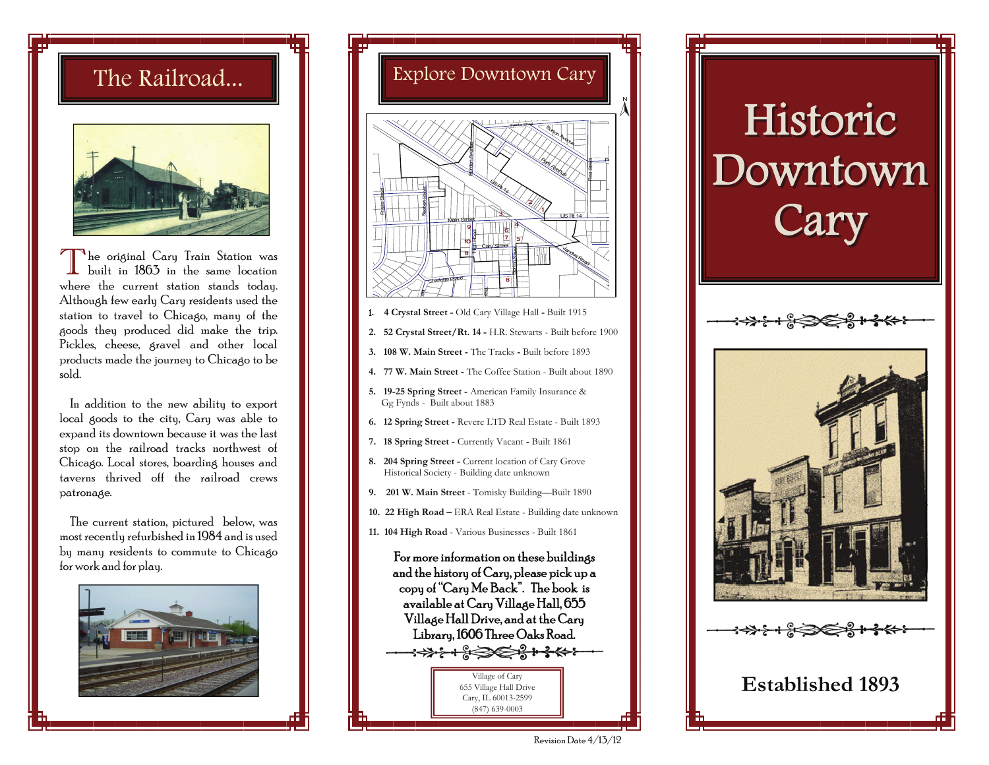

 $\prod$  he original Cary Train Station was built in 1863 in the same location where the current station stands today. Although few early Cary residents used the station to travel to Chicago, many of the goods they produced did make the trip. Pickles, cheese, gravel and other local products made the journey to Chicago to be sold.

 In addition to the new ability to export local goods to the city, Cary was able to expand its downtown because it was the last stop on the railroad tracks northwest of Chicago. Local stores, boarding houses and taverns thrived off the railroad crews patronage.

 The current station, pictured below, was most recently refurbished in 1984 and is used by many residents to commute to Chicago for work and for play.





- <sup>1</sup>**. 4 Crystal Street** Old Cary Village HallBuilt 1915
- **2. 52 Crystal Street/Rt. 14** H.R. Stewarts Built before 1900
- **3. 108 W. Main Street** The Tracks Built before 1893
- **4. 77 W. Main Street** The Coffee Station Built about 1890
- **5. 19-25 Spring Street** American Family Insurance & Gg Fynds - Built about 1883
- **6. 12 Spring Street** Revere LTD Real Estate Built 1893
- **7. 18 Spring Street** Currently Vacant Built 1861
- 8. 204 Spring Street Current location of Cary Grove Historical Society - Building date unknown
- **9. 201 W. Main Street** Tomisky Building—Built 1890
- **10. 22 High Road** ERA Real Estate Building date unknown
- **11. 104 High Road**  Various Businesses Built 1861

For more information on these buildings and the history of Cary, please pick up a copy of "Cary Me Back". The book is available at Cary Village Hall, 655 Village Hall Drive, and at the Cary Library, 1606 Three Oaks Road. Village of Cary 655 Village Hall Drive Cary, IL 60013-2599

(847) 639-0003

# $\operatorname{Downtown}$   $\|$ Historic Historic Cary



Revision Date 4/13/12